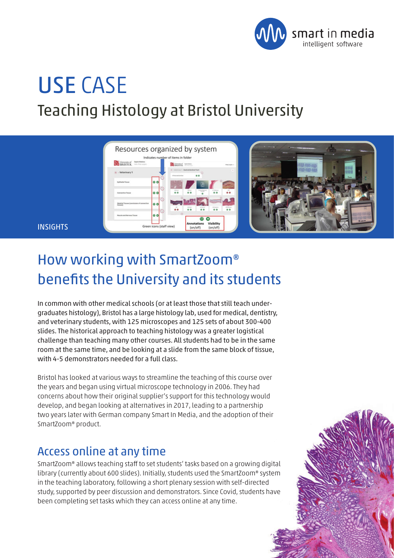

# USE CASE Teaching Histology at Bristol University



#### **INSIGHTS**

# How working with SmartZoom® benefits the University and its students

In common with other medical schools (or at least those that still teach undergraduates histology), Bristol has a large histology lab, used for medical, dentistry, and veterinary students, with 125 microscopes and 125 sets of about 300-400 slides. The historical approach to teaching histology was a greater logistical challenge than teaching many other courses. All students had to be in the same room at the same time, and be looking at a slide from the same block of tissue, with 4-5 demonstrators needed for a full class.

Bristol has looked at various ways to streamline the teaching of this course over the years and began using virtual microscope technology in 2006. They had concerns about how their original supplier's support for this technology would develop, and began looking at alternatives in 2017, leading to a partnership two years later with German company Smart In Media, and the adoption of their SmartZoom® product.

#### Access online at any time

SmartZoom® allows teaching staff to set students' tasks based on a growing digital library (currently about 600 slides). Initially, students used the SmartZoom® system in the teaching laboratory, following a short plenary session with self-directed study, supported by peer discussion and demonstrators. Since Covid, students have been completing set tasks which they can access online at any time.